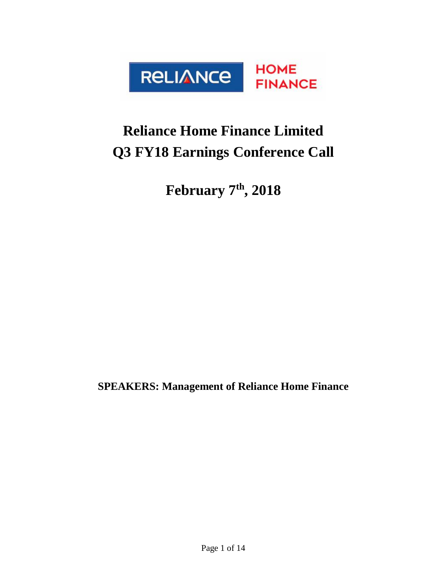

# **Reliance Home Finance Limited Q3 FY18 Earnings Conference Call**

**February 7 th, 2018**

**SPEAKERS: Management of Reliance Home Finance**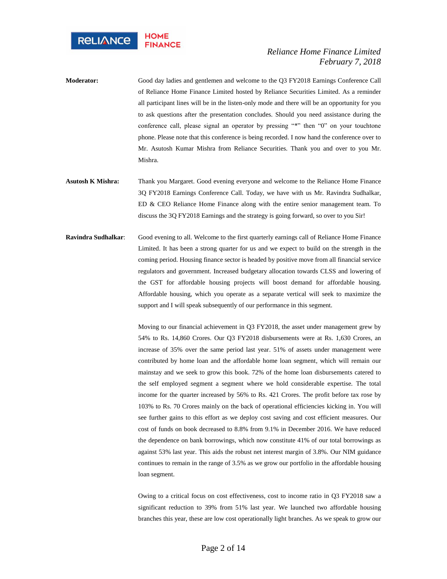

- **Moderator:** Good day ladies and gentlemen and welcome to the Q3 FY2018 Earnings Conference Call of Reliance Home Finance Limited hosted by Reliance Securities Limited. As a reminder all participant lines will be in the listen-only mode and there will be an opportunity for you to ask questions after the presentation concludes. Should you need assistance during the conference call, please signal an operator by pressing "\*" then "0" on your touchtone phone. Please note that this conference is being recorded. I now hand the conference over to Mr. Asutosh Kumar Mishra from Reliance Securities. Thank you and over to you Mr. Mishra.
- **Asutosh K Mishra:** Thank you Margaret. Good evening everyone and welcome to the Reliance Home Finance 3Q FY2018 Earnings Conference Call. Today, we have with us Mr. Ravindra Sudhalkar, ED & CEO Reliance Home Finance along with the entire senior management team. To discuss the 3Q FY2018 Earnings and the strategy is going forward, so over to you Sir!
- **Ravindra Sudhalkar**: Good evening to all. Welcome to the first quarterly earnings call of Reliance Home Finance Limited. It has been a strong quarter for us and we expect to build on the strength in the coming period. Housing finance sector is headed by positive move from all financial service regulators and government. Increased budgetary allocation towards CLSS and lowering of the GST for affordable housing projects will boost demand for affordable housing. Affordable housing, which you operate as a separate vertical will seek to maximize the support and I will speak subsequently of our performance in this segment.

Moving to our financial achievement in Q3 FY2018, the asset under management grew by 54% to Rs. 14,860 Crores. Our Q3 FY2018 disbursements were at Rs. 1,630 Crores, an increase of 35% over the same period last year. 51% of assets under management were contributed by home loan and the affordable home loan segment, which will remain our mainstay and we seek to grow this book. 72% of the home loan disbursements catered to the self employed segment a segment where we hold considerable expertise. The total income for the quarter increased by 56% to Rs. 421 Crores. The profit before tax rose by 103% to Rs. 70 Crores mainly on the back of operational efficiencies kicking in. You will see further gains to this effort as we deploy cost saving and cost efficient measures. Our cost of funds on book decreased to 8.8% from 9.1% in December 2016. We have reduced the dependence on bank borrowings, which now constitute 41% of our total borrowings as against 53% last year. This aids the robust net interest margin of 3.8%. Our NIM guidance continues to remain in the range of 3.5% as we grow our portfolio in the affordable housing loan segment.

Owing to a critical focus on cost effectiveness, cost to income ratio in Q3 FY2018 saw a significant reduction to 39% from 51% last year. We launched two affordable housing branches this year, these are low cost operationally light branches. As we speak to grow our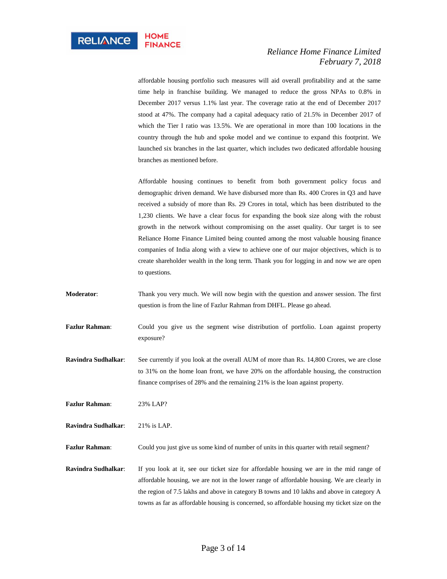affordable housing portfolio such measures will aid overall profitability and at the same time help in franchise building. We managed to reduce the gross NPAs to 0.8% in December 2017 versus 1.1% last year. The coverage ratio at the end of December 2017 stood at 47%. The company had a capital adequacy ratio of 21.5% in December 2017 of which the Tier I ratio was 13.5%. We are operational in more than 100 locations in the country through the hub and spoke model and we continue to expand this footprint. We launched six branches in the last quarter, which includes two dedicated affordable housing branches as mentioned before.

Affordable housing continues to benefit from both government policy focus and demographic driven demand. We have disbursed more than Rs. 400 Crores in Q3 and have received a subsidy of more than Rs. 29 Crores in total, which has been distributed to the 1,230 clients. We have a clear focus for expanding the book size along with the robust growth in the network without compromising on the asset quality. Our target is to see Reliance Home Finance Limited being counted among the most valuable housing finance companies of India along with a view to achieve one of our major objectives, which is to create shareholder wealth in the long term. Thank you for logging in and now we are open to questions.

- **Moderator**: Thank you very much. We will now begin with the question and answer session. The first question is from the line of Fazlur Rahman from DHFL. Please go ahead.
- **Fazlur Rahman**: Could you give us the segment wise distribution of portfolio. Loan against property exposure?
- **Ravindra Sudhalkar**: See currently if you look at the overall AUM of more than Rs. 14,800 Crores, we are close to 31% on the home loan front, we have 20% on the affordable housing, the construction finance comprises of 28% and the remaining 21% is the loan against property.

**Fazlur Rahman**: 23% LAP?

**Ravindra Sudhalkar**: 21% is LAP.

**Fazlur Rahman:** Could you just give us some kind of number of units in this quarter with retail segment?

**Ravindra Sudhalkar**: If you look at it, see our ticket size for affordable housing we are in the mid range of affordable housing, we are not in the lower range of affordable housing. We are clearly in the region of 7.5 lakhs and above in category B towns and 10 lakhs and above in category A towns as far as affordable housing is concerned, so affordable housing my ticket size on the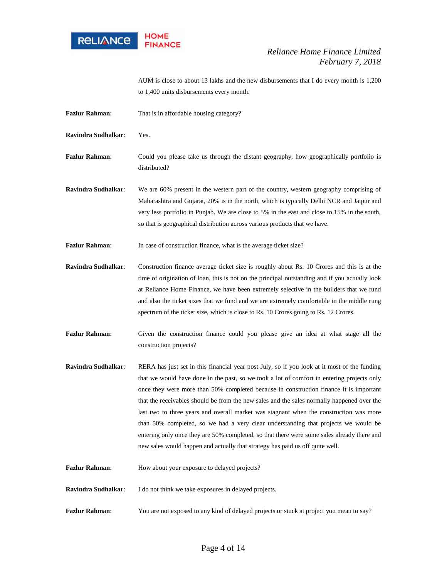

AUM is close to about 13 lakhs and the new disbursements that I do every month is 1,200 to 1,400 units disbursements every month.

**Fazlur Rahman:** That is in affordable housing category?

**Ravindra Sudhalkar**: Yes.

- Fazlur Rahman: Could you please take us through the distant geography, how geographically portfolio is distributed?
- **Ravindra Sudhalkar**: We are 60% present in the western part of the country, western geography comprising of Maharashtra and Gujarat, 20% is in the north, which is typically Delhi NCR and Jaipur and very less portfolio in Punjab. We are close to 5% in the east and close to 15% in the south, so that is geographical distribution across various products that we have.

**Fazlur Rahman:** In case of construction finance, what is the average ticket size?

- **Ravindra Sudhalkar**: Construction finance average ticket size is roughly about Rs. 10 Crores and this is at the time of origination of loan, this is not on the principal outstanding and if you actually look at Reliance Home Finance, we have been extremely selective in the builders that we fund and also the ticket sizes that we fund and we are extremely comfortable in the middle rung spectrum of the ticket size, which is close to Rs. 10 Crores going to Rs. 12 Crores.
- Fazlur Rahman: Given the construction finance could you please give an idea at what stage all the construction projects?
- **Ravindra Sudhalkar**: RERA has just set in this financial year post July, so if you look at it most of the funding that we would have done in the past, so we took a lot of comfort in entering projects only once they were more than 50% completed because in construction finance it is important that the receivables should be from the new sales and the sales normally happened over the last two to three years and overall market was stagnant when the construction was more than 50% completed, so we had a very clear understanding that projects we would be entering only once they are 50% completed, so that there were some sales already there and new sales would happen and actually that strategy has paid us off quite well.
- Fazlur Rahman: How about your exposure to delayed projects?
- **Ravindra Sudhalkar**: I do not think we take exposures in delayed projects.
- Fazlur Rahman: You are not exposed to any kind of delayed projects or stuck at project you mean to say?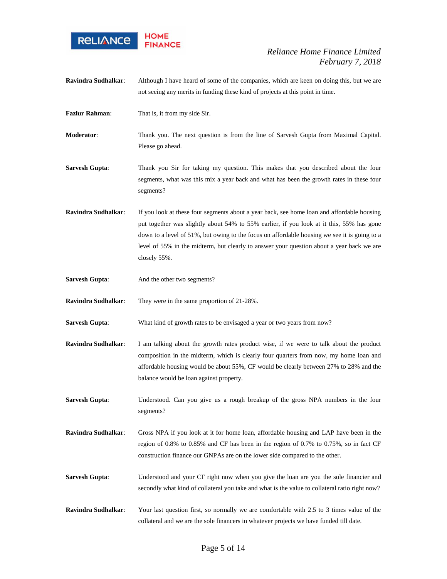

- **Ravindra Sudhalkar**: Although I have heard of some of the companies, which are keen on doing this, but we are not seeing any merits in funding these kind of projects at this point in time.
- **Fazlur Rahman**: That is, it from my side Sir.

**Moderator**: Thank you. The next question is from the line of Sarvesh Gupta from Maximal Capital. Please go ahead.

- **Sarvesh Gupta:** Thank you Sir for taking my question. This makes that you described about the four segments, what was this mix a year back and what has been the growth rates in these four segments?
- **Ravindra Sudhalkar**: If you look at these four segments about a year back, see home loan and affordable housing put together was slightly about 54% to 55% earlier, if you look at it this, 55% has gone down to a level of 51%, but owing to the focus on affordable housing we see it is going to a level of 55% in the midterm, but clearly to answer your question about a year back we are closely 55%.
- **Sarvesh Gupta:** And the other two segments?

**Ravindra Sudhalkar**: They were in the same proportion of 21-28%.

- **Sarvesh Gupta:** What kind of growth rates to be envisaged a year or two years from now?
- **Ravindra Sudhalkar**: I am talking about the growth rates product wise, if we were to talk about the product composition in the midterm, which is clearly four quarters from now, my home loan and affordable housing would be about 55%, CF would be clearly between 27% to 28% and the balance would be loan against property.
- **Sarvesh Gupta:** Understood. Can you give us a rough breakup of the gross NPA numbers in the four segments?
- **Ravindra Sudhalkar**: Gross NPA if you look at it for home loan, affordable housing and LAP have been in the region of 0.8% to 0.85% and CF has been in the region of 0.7% to 0.75%, so in fact CF construction finance our GNPAs are on the lower side compared to the other.
- **Sarvesh Gupta:** Understood and your CF right now when you give the loan are you the sole financier and secondly what kind of collateral you take and what is the value to collateral ratio right now?
- **Ravindra Sudhalkar**: Your last question first, so normally we are comfortable with 2.5 to 3 times value of the collateral and we are the sole financers in whatever projects we have funded till date.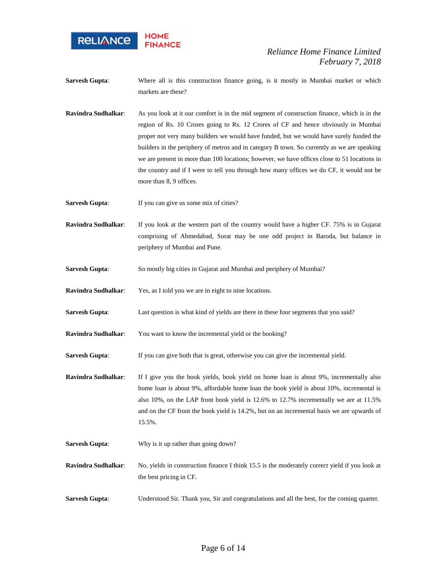

**Sarvesh Gupta:** Where all is this construction finance going, is it mostly in Mumbai market or which markets are these?

**Ravindra Sudhalkar**: As you look at it our comfort is in the mid segment of construction finance, which is in the region of Rs. 10 Crores going to Rs. 12 Crores of CF and hence obviously in Mumbai proper not very many builders we would have funded, but we would have surely funded the builders in the periphery of metros and in category B town. So currently as we are speaking we are present in more than 100 locations; however, we have offices close to 51 locations in the country and if I were to tell you through how many offices we do CF, it would not be more than 8, 9 offices.

**Sarvesh Gupta:** If you can give us some mix of cities?

**Ravindra Sudhalkar**: If you look at the western part of the country would have a higher CF. 75% is in Gujarat comprising of Ahmedabad, Surat may be one odd project in Baroda, but balance in periphery of Mumbai and Pune.

- **Sarvesh Gupta:** So mostly big cities in Gujarat and Mumbai and periphery of Mumbai?
- **Ravindra Sudhalkar**: Yes, as I told you we are in eight to nine locations.
- **Sarvesh Gupta:** Last question is what kind of yields are there in these four segments that you said?
- **Ravindra Sudhalkar**: You want to know the incremental yield or the booking?

**Sarvesh Gupta:** If you can give both that is great, otherwise you can give the incremental yield.

- **Ravindra Sudhalkar**: If I give you the book yields, book yield on home loan is about 9%, incrementally also home loan is about 9%, affordable home loan the book yield is about 10%, incremental is also 10%, on the LAP front book yield is 12.6% to 12.7% incrementally we are at 11.5% and on the CF front the book yield is 14.2%, but on an incremental basis we are upwards of 15.5%.
- **Sarvesh Gupta:** Why is it up rather than going down?
- **Ravindra Sudhalkar**: No, yields in construction finance I think 15.5 is the moderately correct yield if you look at the best pricing in CF.
- **Sarvesh Gupta:** Understood Sir. Thank you, Sir and congratulations and all the best, for the coming quarter.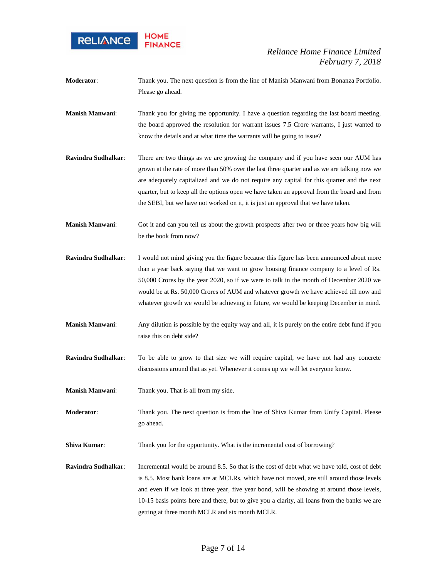

- **Moderator**: Thank you. The next question is from the line of Manish Manwani from Bonanza Portfolio. Please go ahead.
- **Manish Manwani:** Thank you for giving me opportunity. I have a question regarding the last board meeting, the board approved the resolution for warrant issues 7.5 Crore warrants, I just wanted to know the details and at what time the warrants will be going to issue?
- **Ravindra Sudhalkar**: There are two things as we are growing the company and if you have seen our AUM has grown at the rate of more than 50% over the last three quarter and as we are talking now we are adequately capitalized and we do not require any capital for this quarter and the next quarter, but to keep all the options open we have taken an approval from the board and from the SEBI, but we have not worked on it, it is just an approval that we have taken.
- **Manish Manwani**: Got it and can you tell us about the growth prospects after two or three years how big will be the book from now?
- **Ravindra Sudhalkar:** I would not mind giving you the figure because this figure has been announced about more than a year back saying that we want to grow housing finance company to a level of Rs. 50,000 Crores by the year 2020, so if we were to talk in the month of December 2020 we would be at Rs. 50,000 Crores of AUM and whatever growth we have achieved till now and whatever growth we would be achieving in future, we would be keeping December in mind.
- **Manish Manwani**: Any dilution is possible by the equity way and all, it is purely on the entire debt fund if you raise this on debt side?
- **Ravindra Sudhalkar**: To be able to grow to that size we will require capital, we have not had any concrete discussions around that as yet. Whenever it comes up we will let everyone know.
- **Manish Manwani**: Thank you. That is all from my side.
- **Moderator**: Thank you. The next question is from the line of Shiva Kumar from Unify Capital. Please go ahead.
- **Shiva Kumar:** Thank you for the opportunity. What is the incremental cost of borrowing?
- **Ravindra Sudhalkar**: Incremental would be around 8.5. So that is the cost of debt what we have told, cost of debt is 8.5. Most bank loans are at MCLRs, which have not moved, are still around those levels and even if we look at three year, five year bond, will be showing at around those levels, 10-15 basis points here and there, but to give you a clarity, all loan**s** from the banks we are getting at three month MCLR and six month MCLR.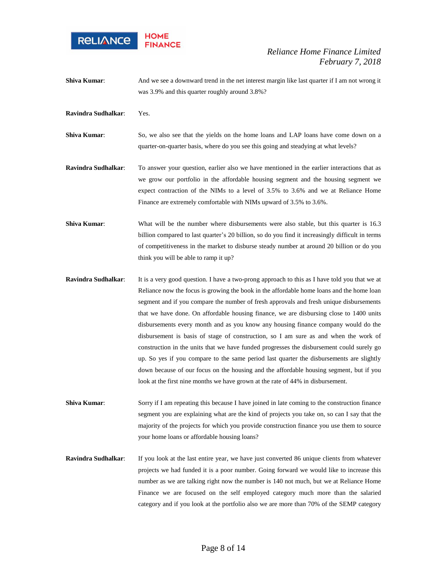

- **Shiva Kumar:** And we see a downward trend in the net interest margin like last quarter if I am not wrong it was 3.9% and this quarter roughly around 3.8%?
- **Ravindra Sudhalkar**: Yes.
- **Shiva Kumar:** So, we also see that the yields on the home loans and LAP loans have come down on a quarter-on-quarter basis, where do you see this going and steadying at what levels?
- **Ravindra Sudhalkar**: To answer your question, earlier also we have mentioned in the earlier interactions that as we grow our portfolio in the affordable housing segment and the housing segment we expect contraction of the NIMs to a level of 3.5% to 3.6% and we at Reliance Home Finance are extremely comfortable with NIMs upward of 3.5% to 3.6%.
- **Shiva Kumar:** What will be the number where disbursements were also stable, but this quarter is 16.3 billion compared to last quarter's 20 billion, so do you find it increasingly difficult in terms of competitiveness in the market to disburse steady number at around 20 billion or do you think you will be able to ramp it up?
- **Ravindra Sudhalkar**: It is a very good question. I have a two**-**prong approach to this as I have told you that we at Reliance now the focus is growing the book in the affordable home loans and the home loan segment and if you compare the number of fresh approvals and fresh unique disbursements that we have done. On affordable housing finance, we are disbursing close to 1400 units disbursements every month and as you know any housing finance company would do the disbursement is basis of stage of construction, so I am sure as and when the work of construction in the units that we have funded progresses the disbursement could surely go up. So yes if you compare to the same period last quarter the disbursements are slightly down because of our focus on the housing and the affordable housing segment, but if you look at the first nine months we have grown at the rate of 44% in disbursement.
- **Shiva Kumar:** Sorry if I am repeating this because I have joined in late coming to the construction finance segment you are explaining what are the kind of projects you take on, so can I say that the majority of the projects for which you provide construction finance you use them to source your home loans or affordable housing loans?
- **Ravindra Sudhalkar**: If you look at the last entire year, we have just converted 86 unique clients from whatever projects we had funded it is a poor number. Going forward we would like to increase this number as we are talking right now the number is 140 not much, but we at Reliance Home Finance we are focused on the self employed category much more than the salaried category and if you look at the portfolio also we are more than 70% of the SEMP category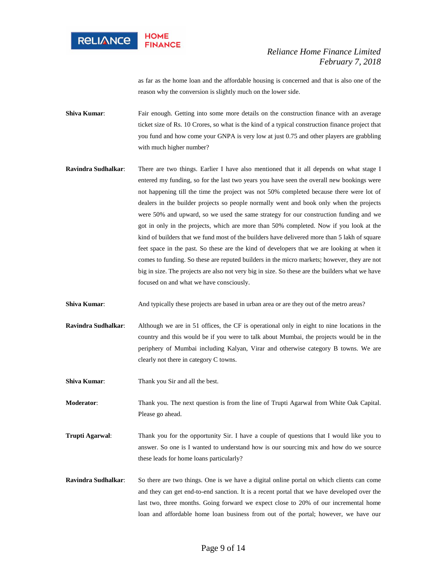

as far as the home loan and the affordable housing is concerned and that is also one of the reason why the conversion is slightly much on the lower side.

**Shiva Kumar:** Fair enough. Getting into some more details on the construction finance with an average ticket size of Rs. 10 Crores, so what is the kind of a typical construction finance project that you fund and how come your GNPA is very low at just 0.75 and other players are grabbling with much higher number?

**Ravindra Sudhalkar**: There are two things. Earlier I have also mentioned that it all depends on what stage I entered my funding, so for the last two years you have seen the overall new bookings were not happening till the time the project was not 50% completed because there were lot of dealers in the builder projects so people normally went and book only when the projects were 50% and upward, so we used the same strategy for our construction funding and we got in only in the projects, which are more than 50% completed. Now if you look at the kind of builders that we fund most of the builders have delivered more than 5 lakh of square feet space in the past. So these are the kind of developers that we are looking at when it comes to funding. So these are reputed builders in the micro markets; however, they are not big in size. The projects are also not very big in size. So these are the builders what we have focused on and what we have consciously.

**Shiva Kumar:** And typically these projects are based in urban area or are they out of the metro areas?

- **Ravindra Sudhalkar**: Although we are in 51 offices, the CF is operational only in eight to nine locations in the country and this would be if you were to talk about Mumbai, the projects would be in the periphery of Mumbai including Kalyan, Virar and otherwise category B towns. We are clearly not there in category C towns.
- **Shiva Kumar:** Thank you Sir and all the best.

**Moderator**: Thank you. The next question is from the line of Trupti Agarwal from White Oak Capital. Please go ahead.

- **Trupti Agarwal**: Thank you for the opportunity Sir. I have a couple of questions that I would like you to answer. So one is I wanted to understand how is our sourcing mix and how do we source these leads for home loans particularly?
- **Ravindra Sudhalkar**: So there are two things. One is we have a digital online portal on which clients can come and they can get end-to-end sanction. It is a recent portal that we have developed over the last two, three months. Going forward we expect close to 20% of our incremental home loan and affordable home loan business from out of the portal; however, we have our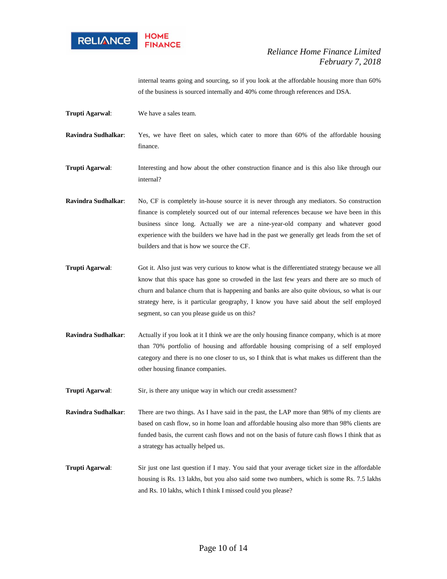

internal teams going and sourcing, so if you look at the affordable housing more than 60% of the business is sourced internally and 40% come through references and DSA.

**Trupti Agarwal**: We have a sales team.

**Ravindra Sudhalkar**: Yes, we have fleet on sales, which cater to more than 60% of the affordable housing finance.

**Trupti Agarwal:** Interesting and how about the other construction finance and is this also like through our internal?

- **Ravindra Sudhalkar**: No, CF is completely in-house source it is never through any mediators. So construction finance is completely sourced out of our internal references because we have been in this business since long. Actually we are a nine-year-old company and whatever good experience with the builders we have had in the past we generally get leads from the set of builders and that is how we source the CF.
- **Trupti Agarwal**: Got it. Also just was very curious to know what is the differentiated strategy because we all know that this space has gone so crowded in the last few years and there are so much of churn and balance churn that is happening and banks are also quite obvious, so what is our strategy here, is it particular geography, I know you have said about the self employed segment, so can you please guide us on this?
- **Ravindra Sudhalkar:** Actually if you look at it I think we are the only housing finance company, which is at more than 70% portfolio of housing and affordable housing comprising of a self employed category and there is no one closer to us, so I think that is what makes us different than the other housing finance companies.

**Trupti Agarwal:** Sir, is there any unique way in which our credit assessment?

**Ravindra Sudhalkar**: There are two things. As I have said in the past, the LAP more than 98% of my clients are based on cash flow, so in home loan and affordable housing also more than 98% clients are funded basis, the current cash flows and not on the basis of future cash flows I think that as a strategy has actually helped us.

**Trupti Agarwal**: Sir just one last question if I may. You said that your average ticket size in the affordable housing is Rs. 13 lakhs, but you also said some two numbers, which is some Rs. 7.5 lakhs and Rs. 10 lakhs, which I think I missed could you please?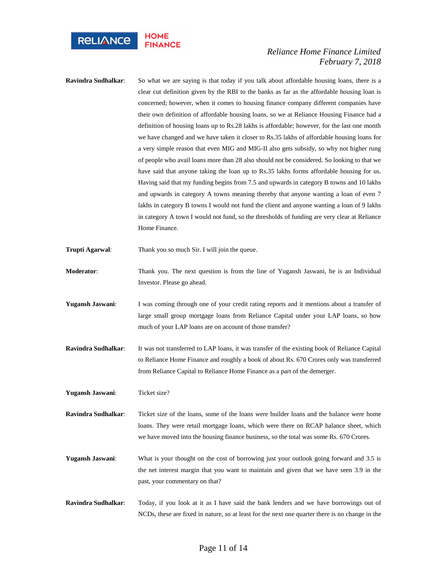

- **Ravindra Sudhalkar**: So what we are saying is that today if you talk about affordable housing loans, there is a clear cut definition given by the RBI to the banks as far as the affordable housing loan is concerned; however, when it comes to housing finance company different companies have their own definition of affordable housing loans, so we at Reliance Housing Finance had a definition of housing loans up to Rs.28 lakhs is affordable; however, for the last one month we have changed and we have taken it closer to Rs.35 lakhs of affordable housing loans for a very simple reason that even MIG and MIG-II also gets subsidy, so why not higher rung of people who avail loans more than 28 also should not be considered. So looking to that we have said that anyone taking the loan up to Rs.35 lakhs forms affordable housing for us. Having said that my funding begins from 7.5 and upwards in category B towns and 10 lakhs and upwards in category A towns meaning thereby that anyone wanting a loan of even 7 lakhs in category B towns I would not fund the client and anyone wanting a loan of 9 lakhs in category A town I would not fund, so the thresholds of funding are very clear at Reliance Home Finance.
- **Trupti Agarwal:** Thank you so much Sir. I will join the queue.
- **Moderator**: Thank you. The next question is from the line of Yugansh Jaswani, he is an Individual Investor. Please go ahead.
- **Yugansh Jaswani**: I was coming through one of your credit rating reports and it mentions about a transfer of large small group mortgage loans from Reliance Capital under your LAP loans, so how much of your LAP loans are on account of those transfer?
- **Ravindra Sudhalkar**: It was not transferred to LAP loans, it was transfer of the existing book of Reliance Capital to Reliance Home Finance and roughly a book of about Rs. 670 Crores only was transferred from Reliance Capital to Reliance Home Finance as a part of the demerger.
- **Yugansh Jaswani**: Ticket size?
- **Ravindra Sudhalkar**: Ticket size of the loans, some of the loans were builder loans and the balance were home loans. They were retail mortgage loans, which were there on RCAP balance sheet, which we have moved into the housing finance business, so the total was some Rs. 670 Crores.
- **Yugansh Jaswani:** What is your thought on the cost of borrowing just your outlook going forward and 3.5 is the net interest margin that you want to maintain and given that we have seen 3.9 in the past, your commentary on that?
- **Ravindra Sudhalkar**: Today, if you look at it as I have said the bank lenders and we have borrowings out of NCDs, these are fixed in nature, so at least for the next one quarter there is no change in the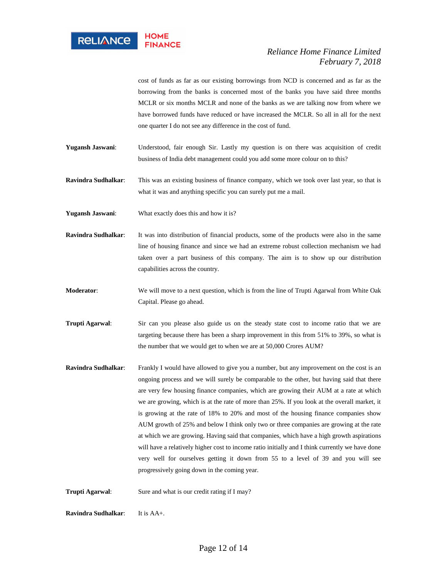

cost of funds as far as our existing borrowings from NCD is concerned and as far as the borrowing from the banks is concerned most of the banks you have said three months MCLR or six months MCLR and none of the banks as we are talking now from where we have borrowed funds have reduced or have increased the MCLR. So all in all for the next one quarter I do not see any difference in the cost of fund.

**Yugansh Jaswani**: Understood, fair enough Sir. Lastly my question is on there was acquisition of credit business of India debt management could you add some more colour on to this?

**Ravindra Sudhalkar**: This was an existing business of finance company, which we took over last year, so that is what it was and anything specific you can surely put me a mail.

**Yugansh Jaswani**: What exactly does this and how it is?

**Ravindra Sudhalkar**: It was into distribution of financial products, some of the products were also in the same line of housing finance and since we had an extreme robust collection mechanism we had taken over a part business of this company. The aim is to show up our distribution capabilities across the country.

**Moderator**: We will move to a next question, which is from the line of Trupti Agarwal from White Oak Capital. Please go ahead.

**Trupti Agarwal:** Sir can you please also guide us on the steady state cost to income ratio that we are targeting because there has been a sharp improvement in this from 51% to 39%, so what is the number that we would get to when we are at 50,000 Crores AUM?

**Ravindra Sudhalkar**: Frankly I would have allowed to give you a number, but any improvement on the cost is an ongoing process and we will surely be comparable to the other, but having said that there are very few housing finance companies, which are growing their AUM at a rate at which we are growing, which is at the rate of more than 25%. If you look at the overall market, it is growing at the rate of 18% to 20% and most of the housing finance companies show AUM growth of 25% and below I think only two or three companies are growing at the rate at which we are growing. Having said that companies, which have a high growth aspirations will have a relatively higher cost to income ratio initially and I think currently we have done very well for ourselves getting it down from 55 to a level of 39 and you will see progressively going down in the coming year.

**Trupti Agarwal:** Sure and what is our credit rating if I may?

**Ravindra Sudhalkar:** It is AA+.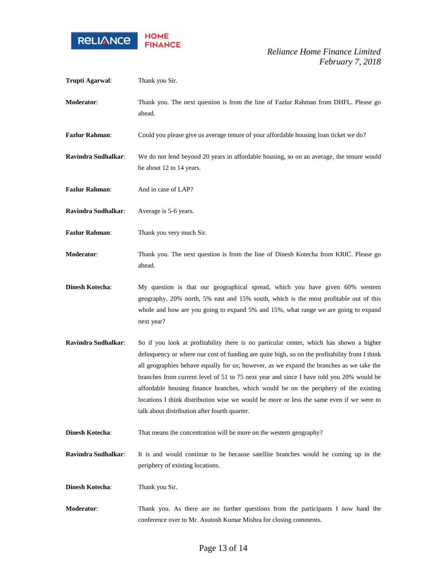

| Trupti Agarwal:        | Thank you Sir.                                                                                                                                                                                                                                                                                                                                                                                                                                                                                                                                                                                                         |
|------------------------|------------------------------------------------------------------------------------------------------------------------------------------------------------------------------------------------------------------------------------------------------------------------------------------------------------------------------------------------------------------------------------------------------------------------------------------------------------------------------------------------------------------------------------------------------------------------------------------------------------------------|
| Moderator:             | Thank you. The next question is from the line of Fazlur Rahman from DHFL. Please go<br>ahead.                                                                                                                                                                                                                                                                                                                                                                                                                                                                                                                          |
| <b>Fazlur Rahman:</b>  | Could you please give us average tenure of your affordable housing loan ticket we do?                                                                                                                                                                                                                                                                                                                                                                                                                                                                                                                                  |
| Ravindra Sudhalkar:    | We do not lend beyond 20 years in affordable housing, so on an average, the tenure would<br>be about 12 to 14 years.                                                                                                                                                                                                                                                                                                                                                                                                                                                                                                   |
| <b>Fazlur Rahman:</b>  | And in case of LAP?                                                                                                                                                                                                                                                                                                                                                                                                                                                                                                                                                                                                    |
| Ravindra Sudhalkar:    | Average is 5-6 years.                                                                                                                                                                                                                                                                                                                                                                                                                                                                                                                                                                                                  |
| <b>Fazlur Rahman:</b>  | Thank you very much Sir.                                                                                                                                                                                                                                                                                                                                                                                                                                                                                                                                                                                               |
| Moderator:             | Thank you. The next question is from the line of Dinesh Kotecha from KRIC. Please go<br>ahead.                                                                                                                                                                                                                                                                                                                                                                                                                                                                                                                         |
| <b>Dinesh Kotecha:</b> | My question is that our geographical spread, which you have given 60% western<br>geography, 20% north, 5% east and 15% south, which is the most profitable out of this<br>whole and how are you going to expand 5% and 15%, what range we are going to expand<br>next year?                                                                                                                                                                                                                                                                                                                                            |
| Ravindra Sudhalkar:    | So if you look at profitability there is no particular center, which has shown a higher<br>delinquency or where our cost of funding are quite high, so on the profitability front I think<br>all geographies behave equally for us; however, as we expand the branches as we take the<br>branches from current level of 51 to 75 next year and since I have told you 20% would be<br>affordable housing finance branches, which would be on the periphery of the existing<br>locations I think distribution wise we would be more or less the same even if we were to<br>talk about distribution after fourth quarter. |
| <b>Dinesh Kotecha:</b> | That means the concentration will be more on the western geography?                                                                                                                                                                                                                                                                                                                                                                                                                                                                                                                                                    |
| Ravindra Sudhalkar:    | It is and would continue to be because satellite branches would be coming up in the<br>periphery of existing locations.                                                                                                                                                                                                                                                                                                                                                                                                                                                                                                |
| <b>Dinesh Kotecha:</b> | Thank you Sir.                                                                                                                                                                                                                                                                                                                                                                                                                                                                                                                                                                                                         |
| Moderator:             | Thank you. As there are no further questions from the participants I now hand the<br>conference over to Mr. Asutosh Kumar Mishra for closing comments.                                                                                                                                                                                                                                                                                                                                                                                                                                                                 |